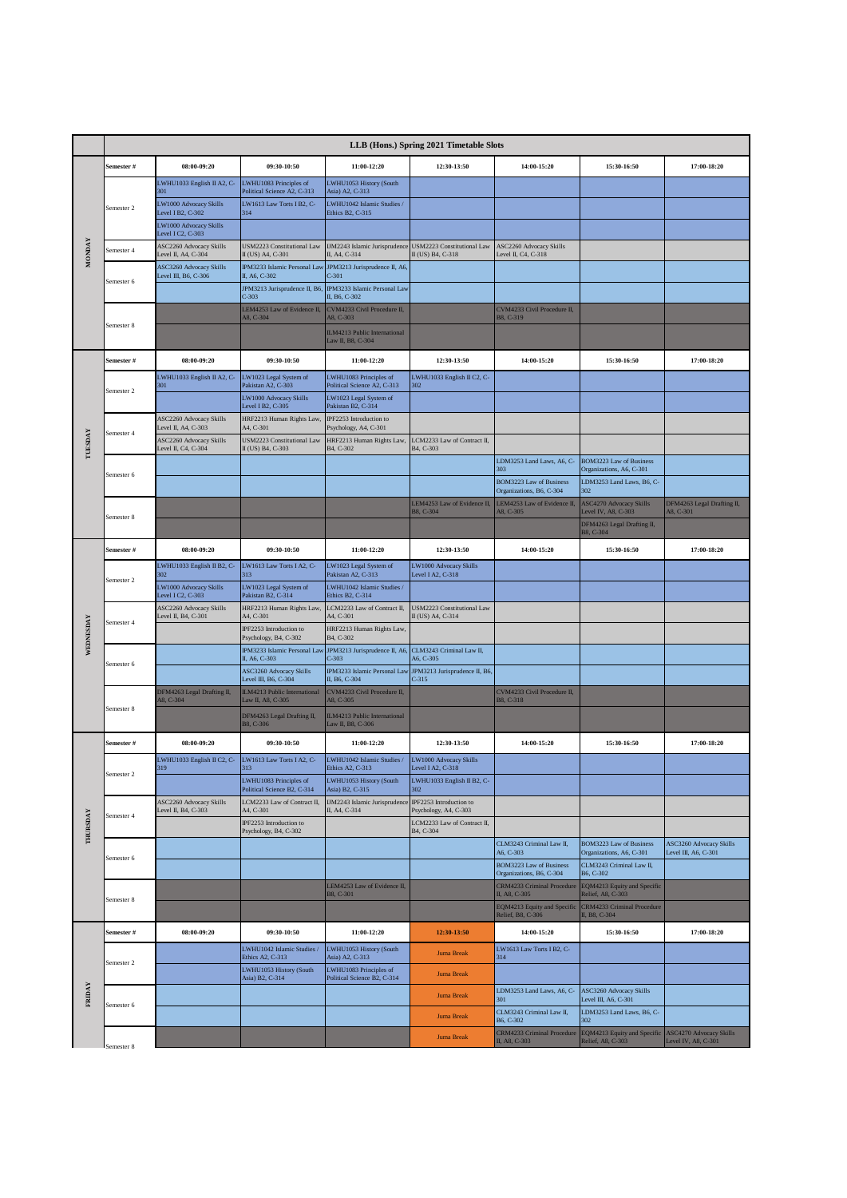|               | LLB (Hons.) Spring 2021 Timetable Slots |                                                          |                                                                        |                                                         |                                                       |                                                                   |                                                       |                                |  |
|---------------|-----------------------------------------|----------------------------------------------------------|------------------------------------------------------------------------|---------------------------------------------------------|-------------------------------------------------------|-------------------------------------------------------------------|-------------------------------------------------------|--------------------------------|--|
| <b>MONDAY</b> | Semester #                              | 08:00-09:20                                              | 09:30-10:50                                                            | 11:00-12:20                                             | 12:30-13:50                                           | 14:00-15:20                                                       | 15:30-16:50                                           | 17:00-18:20                    |  |
|               |                                         | LWHU1033 English II A2, C-<br>301                        | LWHU1083 Principles of<br>Political Science A2, C-313                  | LWHU1053 History (South<br>Asia) A2, C-313              |                                                       |                                                                   |                                                       |                                |  |
|               | Semester 2                              | LW1000 Advocacy Skills<br>Level I B2, $C-302$            | LW1613 Law Torts I B2, C-<br>314                                       | LWHU1042 Islamic Studies /<br>Ethics B2, C-315          |                                                       |                                                                   |                                                       |                                |  |
|               |                                         | LW1000 Advocacy Skills<br>Level I C <sub>2</sub> , C-303 |                                                                        |                                                         |                                                       |                                                                   |                                                       |                                |  |
|               | Semester 4                              | ASC2260 Advocacy Skills<br>Level II, A4, C-304           | USM2223 Constitutional Law<br>II (US) A4, C-301                        | <b>IJM2243</b> Islamic Jurisprudence<br>II, A4, C-314   | USM2223 Constitutional Law<br>II (US) B4, C-318       | ASC2260 Advocacy Skills<br>Level II, C4, C-318                    |                                                       |                                |  |
|               | Semester 6                              | ASC3260 Advocacy Skills<br>Level III, B6, C-306          | IPM3233 Islamic Personal Law<br>II, A6, C-302                          | JPM3213 Jurisprudence II, A6,<br>C-301                  |                                                       |                                                                   |                                                       |                                |  |
|               |                                         |                                                          | JPM3213 Jurisprudence II, B6,<br>$C-303$                               | IPM3233 Islamic Personal Law<br>II, B6, C-302           |                                                       |                                                                   |                                                       |                                |  |
|               | Semester 8                              |                                                          | LEM4253 Law of Evidence II,<br>A8, C-304                               | CVM4233 Civil Procedure II,<br>A8, C-303                |                                                       | CVM4233 Civil Procedure II,<br>B8, C-319                          |                                                       |                                |  |
|               |                                         |                                                          |                                                                        | ILM4213 Public International<br>Law II, B8, C-304       |                                                       |                                                                   |                                                       |                                |  |
|               | Semester #                              | 08:00-09:20                                              | 09:30-10:50                                                            | 11:00-12:20                                             | 12:30-13:50                                           | 14:00-15:20                                                       | 15:30-16:50                                           | 17:00-18:20                    |  |
|               |                                         | LWHU1033 English II A2, C-<br>301                        | LW1023 Legal System of<br>Pakistan A2, C-303                           | LWHU1083 Principles of<br>Political Science A2, C-313   | LWHU1033 English II C2, C-<br>302                     |                                                                   |                                                       |                                |  |
|               | Semester 2                              |                                                          | LW1000 Advocacy Skills<br>Level I B2, C-305                            | LW1023 Legal System of<br>Pakistan B2, C-314            |                                                       |                                                                   |                                                       |                                |  |
|               |                                         | ASC2260 Advocacy Skills                                  | HRF2213 Human Rights Law<br>A <sub>4</sub> , C-301                     | IPF2253 Introduction to                                 |                                                       |                                                                   |                                                       |                                |  |
| TUESDAY       | Semester 4                              | Level II, A4, C-303<br>ASC2260 Advocacy Skills           | <b>USM2223 Constitutional Law</b>                                      | Psychology, A4, C-301<br>HRF2213 Human Rights Law,      | LCM2233 Law of Contract II,                           |                                                                   |                                                       |                                |  |
|               |                                         | Level II, C4, C-304                                      | II (US) B4, C-303                                                      | B4, C-302                                               | B4, C-303                                             | LDM3253 Land Laws, A6, C-                                         | BOM3223 Law of Business                               |                                |  |
|               | Semester 6                              |                                                          |                                                                        |                                                         |                                                       | 303<br><b>BOM3223 Law of Business</b><br>Organizations, B6, C-304 | Organizations, A6, C-301<br>LDM3253 Land Laws, B6, C- |                                |  |
|               |                                         |                                                          |                                                                        |                                                         | LEM4253 Law of Evidence II,<br>B8, C-304              | LEM4253 Law of Evidence II,<br>A8, C-305                          | 302<br><b>ASC4270 Advocacy Skills</b>                 | DFM4263 Legal Drafting II,     |  |
|               | Semester 8                              |                                                          |                                                                        |                                                         |                                                       |                                                                   | Level IV, A8, C-303<br>DFM4263 Legal Drafting II,     | A8, C-301                      |  |
|               | Semester #                              | 08:00-09:20                                              | 09:30-10:50                                                            | 11:00-12:20                                             | 12:30-13:50                                           | 14:00-15:20                                                       | B8, C-304<br>15:30-16:50                              | 17:00-18:20                    |  |
|               | Semester 2                              | LWHU1033 English II B2, C-                               | LW1613 Law Torts I A2, C-<br>313                                       | LW1023 Legal System of<br>Pakistan A2, C-313            | LW1000 Advocacy Skills<br>Level I A2, C-318           |                                                                   |                                                       |                                |  |
|               |                                         | 302<br>LW1000 Advocacy Skills                            | LW1023 Legal System of                                                 | LWHU1042 Islamic Studies /<br>Ethics B2, C-314          |                                                       |                                                                   |                                                       |                                |  |
|               | Semester 4                              | Level I C2, C-303<br>ASC2260 Advocacy Skills             | Pakistan B2, C-314<br>HRF2213 Human Rights Law,                        | LCM2233 Law of Contract II,                             | <b>USM2223 Constitutional Law</b>                     |                                                                   |                                                       |                                |  |
| WEDNESDAY     |                                         | Level II, B4, C-301                                      | A4, C-301<br>IPF2253 Introduction to                                   | A4, C-301<br>HRF2213 Human Rights Law,                  | II (US) A4, C-314                                     |                                                                   |                                                       |                                |  |
|               | Semester 6                              |                                                          | Psychology, B4, C-302<br>IPM3233 Islamic Personal Law<br>II, A6, C-303 | B4, C-302<br>JPM3213 Jurisprudence II, A6,<br>$C-303$   | CLM3243 Criminal Law II,                              |                                                                   |                                                       |                                |  |
|               |                                         |                                                          | ASC3260 Advocacy Skills<br>Level III, B6, C-304                        | IPM3233 Islamic Personal Law<br>II, B6, C-304           | A6, C-305<br>JPM3213 Jurisprudence II, B6,<br>$C-315$ |                                                                   |                                                       |                                |  |
|               | Semester 8                              | DFM4263 Legal Drafting II,<br>A8, C-304                  | ILM4213 Public International<br>Law II, A8, C-305                      | CVM4233 Civil Procedure II.<br>A8, C-305                |                                                       | CVM4233 Civil Procedure II.<br>B8, C-318                          |                                                       |                                |  |
|               |                                         |                                                          | DFM4263 Legal Drafting II,                                             | ILM4213 Public International                            |                                                       |                                                                   |                                                       |                                |  |
|               |                                         | 08:00-09:20                                              | B8, C-306<br>09:30-10:50                                               | Law II, B8, C-306                                       |                                                       | 14:00-15:20                                                       |                                                       |                                |  |
|               | Semester #                              | LWHU1033 English II C2, C-                               | LW1613 Law Torts I A2, C-                                              | 11:00-12:20<br>LWHU1042 Islamic Studies /               | 12:30-13:50<br>LW1000 Advocacy Skills                 |                                                                   | 15:30-16:50                                           | 17:00-18:20                    |  |
|               | Semester 2                              | 319                                                      | $313 -$<br>LWHU1083 Principles of                                      | EINICS $A2, C-313$<br>LWHU1053 History (South           | Level I A2, C-318<br>LWHU1033 English II B2, C-       |                                                                   |                                                       |                                |  |
|               |                                         | ASC2260 Advocacy Skills                                  | Political Science B2, C-314<br>LCM2233 Law of Contract II,             | Asia) B2, C-315<br><b>IJM2243</b> Islamic Jurisprudence | 302<br>IPF2253 Introduction to                        |                                                                   |                                                       |                                |  |
| THURSDAY      | Semester 4                              | Level II, B4, C-303                                      | A4, C-301<br>IPF2253 Introduction to                                   | II, A4, C-314                                           | Psychology, A4, C-303<br>LCM2233 Law of Contract II,  |                                                                   |                                                       |                                |  |
|               |                                         |                                                          | Psychology, B4, C-302                                                  |                                                         | B4, C-304                                             | CLM3243 Criminal Law II,                                          | <b>BOM3223 Law of Business</b>                        | ASC3260 Advocacy Skills        |  |
|               | Semester 6                              |                                                          |                                                                        |                                                         |                                                       | A6, C-303<br><b>BOM3223 Law of Business</b>                       | Organizations, A6, C-301<br>CLM3243 Criminal Law II,  | Level III, A6, C-301           |  |
|               |                                         |                                                          |                                                                        | LEM4253 Law of Evidence II,                             |                                                       | Organizations, B6, C-304<br>CRM4233 Criminal Procedure            | B6, C-302<br>EQM4213 Equity and Specific              |                                |  |
|               | Semester 8                              |                                                          |                                                                        | B8, C-301                                               |                                                       | II, A8, C-305<br>EQM4213 Equity and Specific                      | Relief, A8, C-303<br>CRM4233 Criminal Procedure       |                                |  |
| <b>FRIDAY</b> |                                         |                                                          |                                                                        |                                                         |                                                       | Relief, B8, C-306                                                 | II, B8, C-304                                         |                                |  |
|               | Semester #                              | 08:00-09:20                                              | 09:30-10:50<br>LWHU1042 Islamic Studies                                | 11:00-12:20<br>LWHU1053 History (South                  | 12:30-13:50                                           | 14:00-15:20<br>LW1613 Law Torts I B2, C-                          | 15:30-16:50                                           | 17:00-18:20                    |  |
|               | Semester 2                              |                                                          | Ethics A2, C-313<br>LWHU1053 History (South                            | Asia) A2, C-313<br>LWHU1083 Principles of               | <b>Juma Break</b>                                     | 314                                                               |                                                       |                                |  |
|               |                                         |                                                          | Asia) B2, C-314                                                        | Political Science B2, C-314                             | <b>Juma Break</b>                                     | LDM3253 Land Laws, A6, C-                                         | ASC3260 Advocacy Skills                               |                                |  |
|               | Semester 6                              |                                                          |                                                                        |                                                         | <b>Juma Break</b>                                     | 301<br>CLM3243 Criminal Law II,                                   | Level III, A6, C-301<br>LDM3253 Land Laws, B6, C-     |                                |  |
|               |                                         |                                                          |                                                                        |                                                         | <b>Juma Break</b>                                     | B6, C-302<br>CRM4233 Criminal Procedure                           | 302<br>EQM4213 Equity and Specific                    | <b>ASC4270 Advocacy Skills</b> |  |
|               | Semester 8                              |                                                          |                                                                        |                                                         | <b>Juma Break</b>                                     | II, A8, C-303                                                     | Relief, A8, C-303                                     | Level IV, A8, C-301            |  |